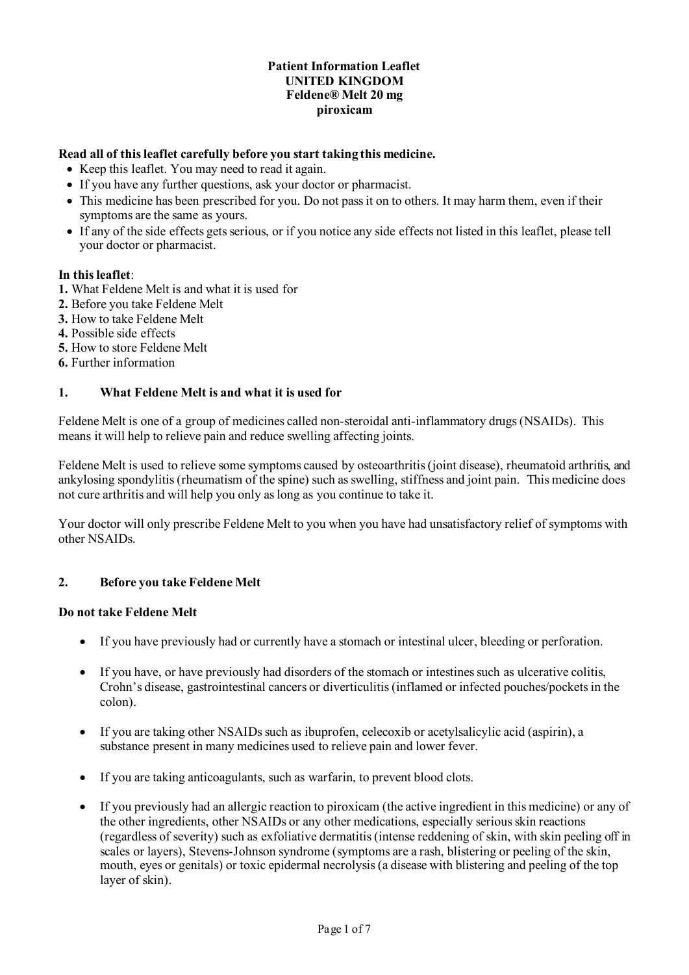## **Patient Information Leaflet UNITED KINGDOM Feldene® Melt 20 mg piroxicam**

## **Read all of this leaflet carefully before you start taking this medicine.**

- Keep this leaflet. You may need to read it again.
- If you have any further questions, ask your doctor or pharmacist.
- This medicine has been prescribed for you. Do not pass it on to others. It may harm them, even if their symptoms are the same as yours.
- If any of the side effects gets serious, or if you notice any side effects not listed in this leaflet, please tell your doctor or pharmacist.

# **In this leaflet**:

- **1.** What Feldene Melt is and what it is used for
- **2.** Before you take Feldene Melt
- **3.** How to take Feldene Melt
- **4.** Possible side effects
- **5.** How to store Feldene Melt
- **6.** Further information

## **1. What Feldene Melt is and what it is used for**

Feldene Melt is one of a group of medicines called non-steroidal anti-inflammatory drugs (NSAIDs). This means it will help to relieve pain and reduce swelling affecting joints.

Feldene Melt is used to relieve some symptoms caused by osteoarthritis(joint disease), rheumatoid arthritis, and ankylosing spondylitis (rheumatism of the spine) such as swelling, stiffness and joint pain. This medicine does not cure arthritis and will help you only as long as you continue to take it.

Your doctor will only prescribe Feldene Melt to you when you have had unsatisfactory relief of symptoms with other NSAIDs.

#### **2. Before you take Feldene Melt**

#### **Do not take Feldene Melt**

- If you have previously had or currently have a stomach or intestinal ulcer, bleeding or perforation.
- If you have, or have previously had disorders of the stomach or intestines such as ulcerative colitis, Crohn's disease, gastrointestinal cancers or diverticulitis (inflamed or infected pouches/pockets in the colon).
- If you are taking other NSAIDs such as ibuprofen, celecoxib or acetylsalicylic acid (aspirin), a substance present in many medicines used to relieve pain and lower fever.
- If you are taking anticoagulants, such as warfarin, to prevent blood clots.
- If you previously had an allergic reaction to piroxicam (the active ingredient in this medicine) or any of the other ingredients, other NSAIDs or any other medications, especially serious skin reactions (regardless of severity) such as exfoliative dermatitis (intense reddening of skin, with skin peeling off in scales or layers), Stevens-Johnson syndrome (symptoms are a rash, blistering or peeling of the skin, mouth, eyes or genitals) or toxic epidermal necrolysis (a disease with blistering and peeling of the top layer of skin).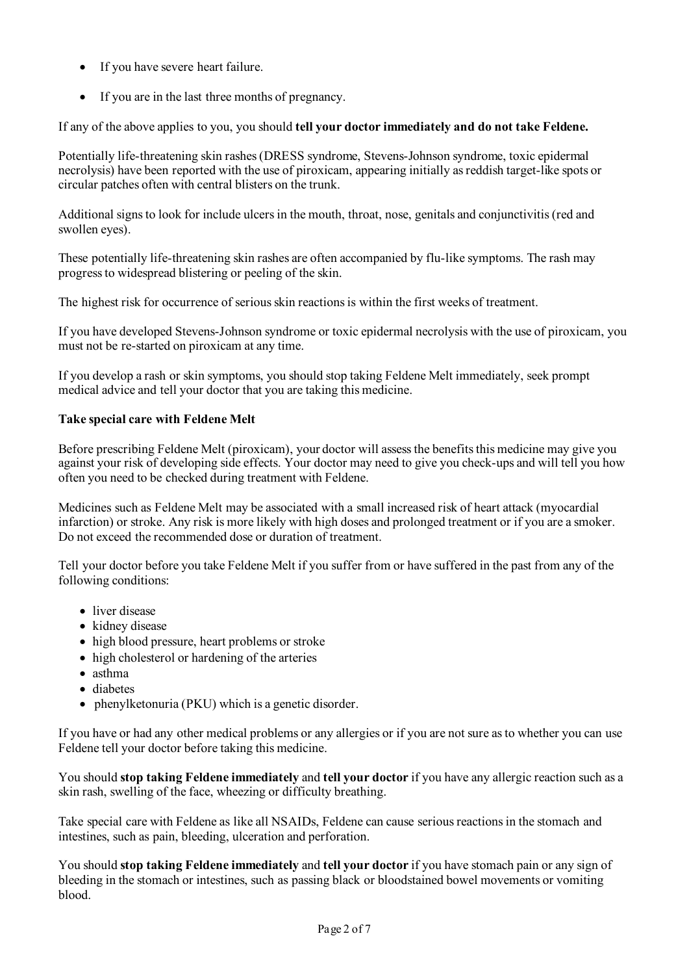- If you have severe heart failure.
- If you are in the last three months of pregnancy.

If any of the above applies to you, you should **tell your doctor immediately and do not take Feldene.**

Potentially life-threatening skin rashes (DRESS syndrome, Stevens-Johnson syndrome, toxic epidermal necrolysis) have been reported with the use of piroxicam, appearing initially as reddish target-like spots or circular patches often with central blisters on the trunk.

Additional signs to look for include ulcers in the mouth, throat, nose, genitals and conjunctivitis (red and swollen eyes).

These potentially life-threatening skin rashes are often accompanied by flu-like symptoms. The rash may progress to widespread blistering or peeling of the skin.

The highest risk for occurrence of serious skin reactions is within the first weeks of treatment.

If you have developed Stevens-Johnson syndrome or toxic epidermal necrolysis with the use of piroxicam, you must not be re-started on piroxicam at any time.

If you develop a rash or skin symptoms, you should stop taking Feldene Melt immediately, seek prompt medical advice and tell your doctor that you are taking this medicine.

## **Take special care with Feldene Melt**

Before prescribing Feldene Melt (piroxicam), your doctor will assess the benefits this medicine may give you against your risk of developing side effects. Your doctor may need to give you check-ups and will tell you how often you need to be checked during treatment with Feldene.

Medicines such as Feldene Melt may be associated with a small increased risk of heart attack (myocardial infarction) or stroke. Any risk is more likely with high doses and prolonged treatment or if you are a smoker. Do not exceed the recommended dose or duration of treatment.

Tell your doctor before you take Feldene Melt if you suffer from or have suffered in the past from any of the following conditions:

- liver disease
- kidney disease
- high blood pressure, heart problems or stroke
- high cholesterol or hardening of the arteries
- asthma
- diabetes
- phenylketonuria (PKU) which is a genetic disorder.

If you have or had any other medical problems or any allergies or if you are not sure as to whether you can use Feldene tell your doctor before taking this medicine.

You should **stop taking Feldene immediately** and **tell your doctor** if you have any allergic reaction such as a skin rash, swelling of the face, wheezing or difficulty breathing.

Take special care with Feldene as like all NSAIDs, Feldene can cause serious reactions in the stomach and intestines, such as pain, bleeding, ulceration and perforation.

You should **stop taking Feldene immediately** and **tell your doctor** if you have stomach pain or any sign of bleeding in the stomach or intestines, such as passing black or bloodstained bowel movements or vomiting blood.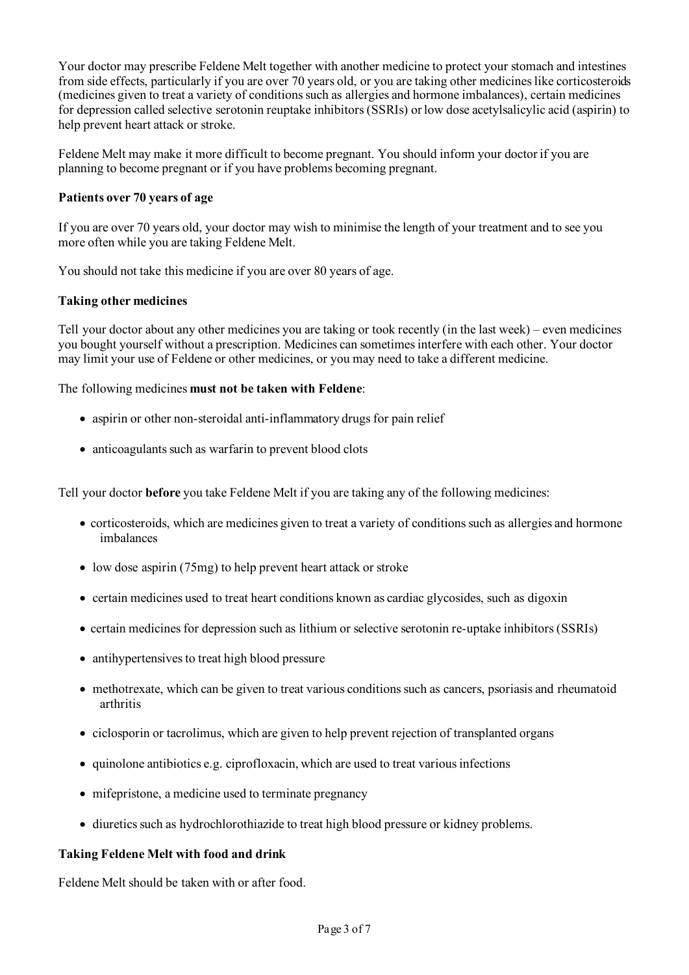Your doctor may prescribe Feldene Melt together with another medicine to protect your stomach and intestines from side effects, particularly if you are over 70 years old, or you are taking other medicines like corticosteroids (medicines given to treat a variety of conditions such as allergies and hormone imbalances), certain medicines for depression called selective serotonin reuptake inhibitors (SSRIs) or low dose acetylsalicylic acid (aspirin) to help prevent heart attack or stroke.

Feldene Melt may make it more difficult to become pregnant. You should inform your doctor if you are planning to become pregnant or if you have problems becoming pregnant.

## **Patients over 70 years of age**

If you are over 70 years old, your doctor may wish to minimise the length of your treatment and to see you more often while you are taking Feldene Melt.

You should not take this medicine if you are over 80 years of age.

## **Taking other medicines**

Tell your doctor about any other medicines you are taking or took recently (in the last week) – even medicines you bought yourself without a prescription. Medicines can sometimes interfere with each other. Your doctor may limit your use of Feldene or other medicines, or you may need to take a different medicine.

The following medicines **must not be taken with Feldene**:

- aspirin or other non-steroidal anti-inflammatory drugs for pain relief
- anticoagulants such as warfarin to prevent blood clots

Tell your doctor **before** you take Feldene Melt if you are taking any of the following medicines:

- corticosteroids, which are medicines given to treat a variety of conditions such as allergies and hormone imbalances
- low dose aspirin (75mg) to help prevent heart attack or stroke
- certain medicines used to treat heart conditions known as cardiac glycosides, such as digoxin
- certain medicines for depression such as lithium or selective serotonin re-uptake inhibitors (SSRIs)
- antihypertensives to treat high blood pressure
- methotrexate, which can be given to treat various conditions such as cancers, psoriasis and rheumatoid arthritis
- ciclosporin or tacrolimus, which are given to help prevent rejection of transplanted organs
- quinolone antibiotics e.g. ciprofloxacin, which are used to treat various infections
- mifepristone, a medicine used to terminate pregnancy
- diuretics such as hydrochlorothiazide to treat high blood pressure or kidney problems.

#### **Taking Feldene Melt with food and drink**

Feldene Melt should be taken with or after food.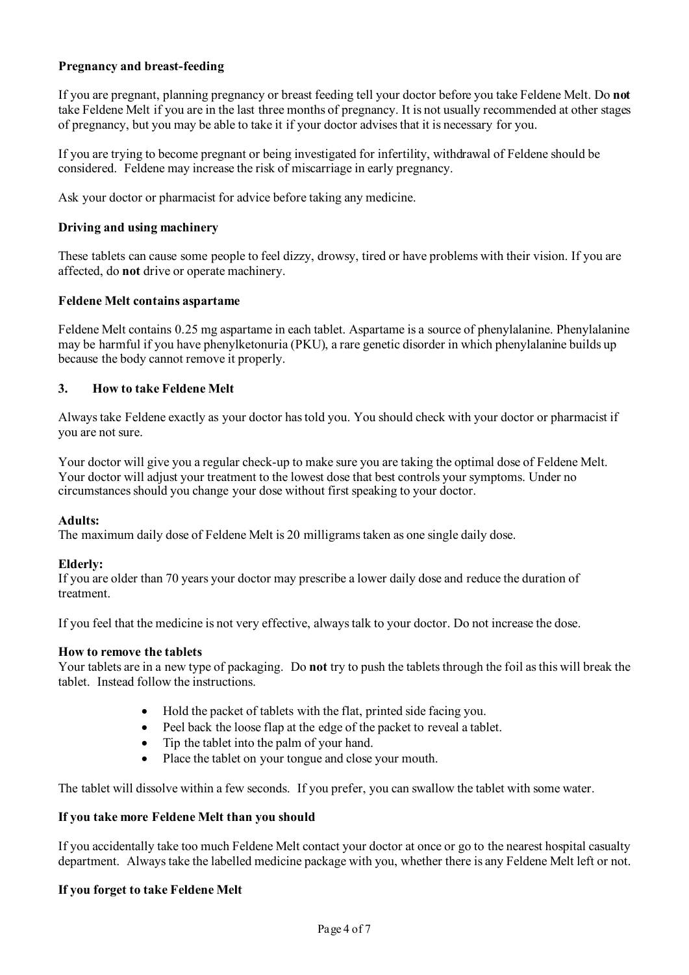# **Pregnancy and breast-feeding**

If you are pregnant, planning pregnancy or breast feeding tell your doctor before you take Feldene Melt. Do **not** take Feldene Melt if you are in the last three months of pregnancy. It is not usually recommended at other stages of pregnancy, but you may be able to take it if your doctor advises that it is necessary for you.

If you are trying to become pregnant or being investigated for infertility, withdrawal of Feldene should be considered. Feldene may increase the risk of miscarriage in early pregnancy.

Ask your doctor or pharmacist for advice before taking any medicine.

## **Driving and using machinery**

These tablets can cause some people to feel dizzy, drowsy, tired or have problems with their vision. If you are affected, do **not** drive or operate machinery.

## **Feldene Melt contains aspartame**

Feldene Melt contains 0.25 mg aspartame in each tablet. Aspartame is a source of phenylalanine. Phenylalanine may be harmful if you have phenylketonuria (PKU), a rare genetic disorder in which phenylalanine builds up because the body cannot remove it properly.

# **3. How to take Feldene Melt**

Always take Feldene exactly as your doctor has told you. You should check with your doctor or pharmacist if you are not sure.

Your doctor will give you a regular check-up to make sure you are taking the optimal dose of Feldene Melt. Your doctor will adjust your treatment to the lowest dose that best controls your symptoms. Under no circumstances should you change your dose without first speaking to your doctor.

#### **Adults:**

The maximum daily dose of Feldene Melt is 20 milligrams taken as one single daily dose.

#### **Elderly:**

If you are older than 70 years your doctor may prescribe a lower daily dose and reduce the duration of treatment.

If you feel that the medicine is not very effective, always talk to your doctor. Do not increase the dose.

#### **How to remove the tablets**

Your tablets are in a new type of packaging. Do **not** try to push the tablets through the foil as this will break the tablet. Instead follow the instructions.

- Hold the packet of tablets with the flat, printed side facing you.
- Peel back the loose flap at the edge of the packet to reveal a tablet.
- Tip the tablet into the palm of your hand.
- Place the tablet on your tongue and close your mouth.

The tablet will dissolve within a few seconds. If you prefer, you can swallow the tablet with some water.

### **If you take more Feldene Melt than you should**

If you accidentally take too much Feldene Melt contact your doctor at once or go to the nearest hospital casualty department. Always take the labelled medicine package with you, whether there is any Feldene Melt left or not.

#### **If you forget to take Feldene Melt**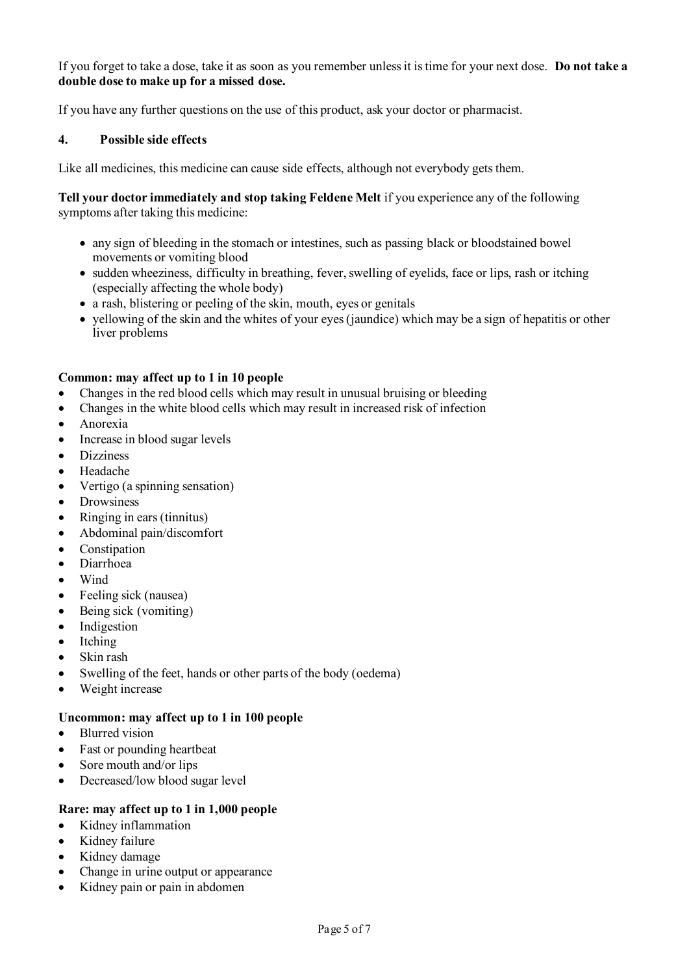If you forget to take a dose, take it as soon as you remember unless it is time for your next dose. **Do not take a double dose to make up for a missed dose.**

If you have any further questions on the use of this product, ask your doctor or pharmacist.

## **4. Possible side effects**

Like all medicines, this medicine can cause side effects, although not everybody gets them.

**Tell your doctor immediately and stop taking Feldene Melt** if you experience any of the following symptoms after taking this medicine:

- any sign of bleeding in the stomach or intestines, such as passing black or bloodstained bowel movements or vomiting blood
- sudden wheeziness, difficulty in breathing, fever, swelling of eyelids, face or lips, rash or itching (especially affecting the whole body)
- a rash, blistering or peeling of the skin, mouth, eyes or genitals
- yellowing of the skin and the whites of your eyes (jaundice) which may be a sign of hepatitis or other liver problems

## **Common: may affect up to 1 in 10 people**

- Changes in the red blood cells which may result in unusual bruising or bleeding
- Changes in the white blood cells which may result in increased risk of infection
- Anorexia
- Increase in blood sugar levels
- **Dizziness**
- Headache
- Vertigo (a spinning sensation)
- Drowsiness
- Ringing in ears (tinnitus)
- Abdominal pain/discomfort
- Constipation
- Diarrhoea
- Wind
- Feeling sick (nausea)
- Being sick (vomiting)
- **Indigestion**
- **Itching**
- Skin rash
- Swelling of the feet, hands or other parts of the body (oedema)
- Weight increase

#### **Uncommon: may affect up to 1 in 100 people**

- Blurred vision
- Fast or pounding heartbeat
- Sore mouth and/or lips
- Decreased/low blood sugar level

# **Rare: may affect up to 1 in 1,000 people**

- Kidney inflammation
- Kidney failure
- Kidney damage
- Change in urine output or appearance
- Kidney pain or pain in abdomen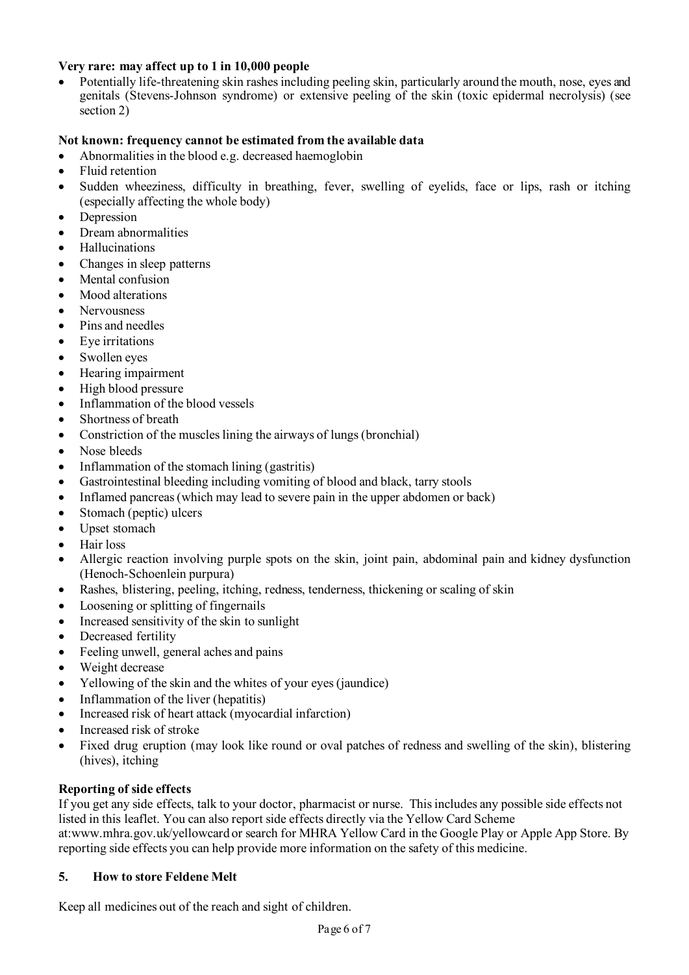# **Very rare: may affect up to 1 in 10,000 people**

• Potentially life-threatening skin rashes including peeling skin, particularly around the mouth, nose, eyes and genitals (Stevens-Johnson syndrome) or extensive peeling of the skin (toxic epidermal necrolysis) (see section 2)

# **Not known: frequency cannot be estimated from the available data**

- Abnormalities in the blood e.g. decreased haemoglobin
- Fluid retention
- Sudden wheeziness, difficulty in breathing, fever, swelling of eyelids, face or lips, rash or itching (especially affecting the whole body)
- **Depression**
- Dream abnormalities
- Hallucinations
- Changes in sleep patterns
- Mental confusion
- Mood alterations
- Nervousness
- Pins and needles
- Eye irritations
- Swollen eyes
- Hearing impairment
- High blood pressure
- Inflammation of the blood vessels
- Shortness of breath
- Constriction of the muscles lining the airways of lungs (bronchial)
- Nose bleeds
- Inflammation of the stomach lining (gastritis)
- Gastrointestinal bleeding including vomiting of blood and black, tarry stools
- Inflamed pancreas (which may lead to severe pain in the upper abdomen or back)
- Stomach (peptic) ulcers
- Upset stomach
- Hair loss
- Allergic reaction involving purple spots on the skin, joint pain, abdominal pain and kidney dysfunction (Henoch-Schoenlein purpura)
- Rashes, blistering, peeling, itching, redness, tenderness, thickening or scaling of skin
- Loosening or splitting of fingernails
- Increased sensitivity of the skin to sunlight
- Decreased fertility
- Feeling unwell, general aches and pains
- Weight decrease
- Yellowing of the skin and the whites of your eyes (jaundice)
- Inflammation of the liver (hepatitis)
- Increased risk of heart attack (myocardial infarction)
- Increased risk of stroke
- Fixed drug eruption (may look like round or oval patches of redness and swelling of the skin), blistering (hives), itching

# **Reporting of side effects**

If you get any side effects, talk to your doctor, pharmacist or nurse. This includes any possible side effects not listed in this leaflet. You can also report side effects directly via the Yellow Card Scheme at:www.mhra.gov.uk/yellowcard or search for MHRA Yellow Card in the Google Play or Apple App Store. By reporting side effects you can help provide more information on the safety of this medicine.

# **5. How to store Feldene Melt**

Keep all medicines out of the reach and sight of children.